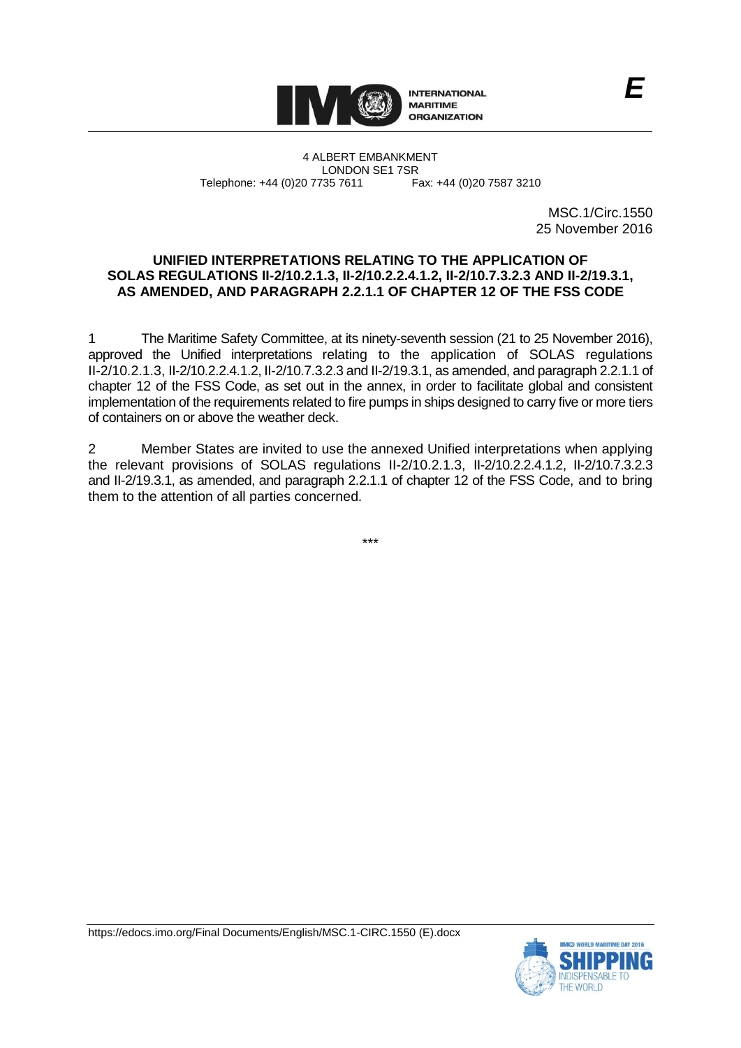

4 ALBERT EMBANKMENT LONDON SE1 7SR<br>735 7611 Fax: +44 (0)20 7587 3210 Telephone: +44 (0)20 7735 7611

> MSC.1/Circ.1550 25 November 2016

*E*

## **UNIFIED INTERPRETATIONS RELATING TO THE APPLICATION OF SOLAS REGULATIONS II-2/10.2.1.3, II-2/10.2.2.4.1.2, II-2/10.7.3.2.3 AND II-2/19.3.1, AS AMENDED, AND PARAGRAPH 2.2.1.1 OF CHAPTER 12 OF THE FSS CODE**

1 The Maritime Safety Committee, at its ninety-seventh session (21 to 25 November 2016), approved the Unified interpretations relating to the application of SOLAS regulations II-2/10.2.1.3, II-2/10.2.2.4.1.2, II-2/10.7.3.2.3 and II-2/19.3.1, as amended, and paragraph 2.2.1.1 of chapter 12 of the FSS Code, as set out in the annex, in order to facilitate global and consistent implementation of the requirements related to fire pumps in ships designed to carry five or more tiers of containers on or above the weather deck.

2 Member States are invited to use the annexed Unified interpretations when applying the relevant provisions of SOLAS regulations II-2/10.2.1.3, II-2/10.2.2.4.1.2, II-2/10.7.3.2.3 and II-2/19.3.1, as amended, and paragraph 2.2.1.1 of chapter 12 of the FSS Code, and to bring them to the attention of all parties concerned.

\*\*\*